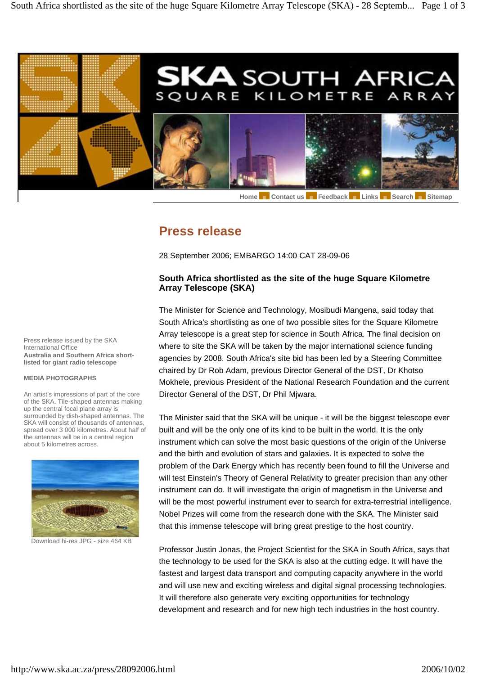

Home Contact us **Figure 2011** Links Bearch Sitemap

## **Press release**

28 September 2006; EMBARGO 14:00 CAT 28-09-06

## **South Africa shortlisted as the site of the huge Square Kilometre Array Telescope (SKA)**

The Minister for Science and Technology, Mosibudi Mangena, said today that South Africa's shortlisting as one of two possible sites for the Square Kilometre Array telescope is a great step for science in South Africa. The final decision on where to site the SKA will be taken by the major international science funding agencies by 2008. South Africa's site bid has been led by a Steering Committee chaired by Dr Rob Adam, previous Director General of the DST, Dr Khotso Mokhele, previous President of the National Research Foundation and the current Director General of the DST, Dr Phil Mjwara.

The Minister said that the SKA will be unique - it will be the biggest telescope ever built and will be the only one of its kind to be built in the world. It is the only instrument which can solve the most basic questions of the origin of the Universe and the birth and evolution of stars and galaxies. It is expected to solve the problem of the Dark Energy which has recently been found to fill the Universe and will test Einstein's Theory of General Relativity to greater precision than any other instrument can do. It will investigate the origin of magnetism in the Universe and will be the most powerful instrument ever to search for extra-terrestrial intelligence. Nobel Prizes will come from the research done with the SKA. The Minister said that this immense telescope will bring great prestige to the host country.

Professor Justin Jonas, the Project Scientist for the SKA in South Africa, says that the technology to be used for the SKA is also at the cutting edge. It will have the fastest and largest data transport and computing capacity anywhere in the world and will use new and exciting wireless and digital signal processing technologies. It will therefore also generate very exciting opportunities for technology development and research and for new high tech industries in the host country.

Press release issued by the SKA International Office **Australia and Southern Africa shortlisted for giant radio telescope**

## **MEDIA PHOTOGRAPHS**

An artist's impressions of part of the core of the SKA. Tile-shaped antennas making up the central focal plane array is surrounded by dish-shaped antennas. The SKA will consist of thousands of antennas, spread over 3 000 kilometres. About half of the antennas will be in a central region about 5 kilometres across.



Download hi-res JPG - size 464 KB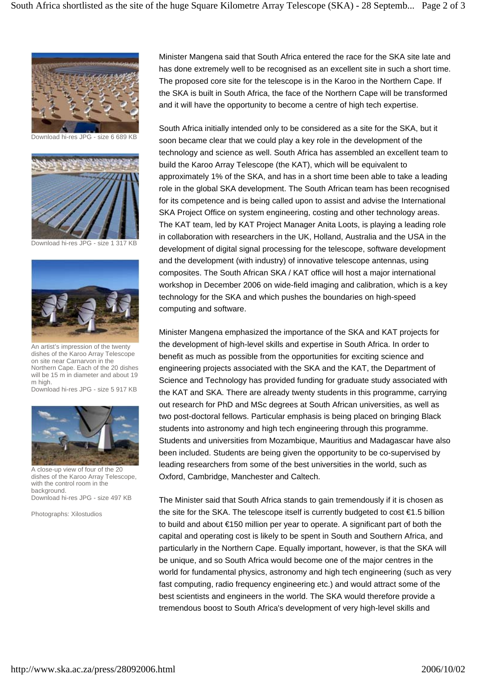

Download hi-res JPG - size 6 689 KB



Download hi-res JPG - size 1 317 KB



An artist's impression of the twenty dishes of the Karoo Array Telescope on site near Carnarvon in the Northern Cape. Each of the 20 dishes will be 15 m in diameter and about 19 m high.

Download hi-res JPG - size 5 917 KB



A close-up view of four of the 20 dishes of the Karoo Array Telescope, with the control room in the background. Download hi-res JPG - size 497 KB

Photographs: Xilostudios

Minister Mangena said that South Africa entered the race for the SKA site late and has done extremely well to be recognised as an excellent site in such a short time. The proposed core site for the telescope is in the Karoo in the Northern Cape. If the SKA is built in South Africa, the face of the Northern Cape will be transformed and it will have the opportunity to become a centre of high tech expertise.

South Africa initially intended only to be considered as a site for the SKA, but it soon became clear that we could play a key role in the development of the technology and science as well. South Africa has assembled an excellent team to build the Karoo Array Telescope (the KAT), which will be equivalent to approximately 1% of the SKA, and has in a short time been able to take a leading role in the global SKA development. The South African team has been recognised for its competence and is being called upon to assist and advise the International SKA Project Office on system engineering, costing and other technology areas. The KAT team, led by KAT Project Manager Anita Loots, is playing a leading role in collaboration with researchers in the UK, Holland, Australia and the USA in the development of digital signal processing for the telescope, software development and the development (with industry) of innovative telescope antennas, using composites. The South African SKA / KAT office will host a major international workshop in December 2006 on wide-field imaging and calibration, which is a key technology for the SKA and which pushes the boundaries on high-speed computing and software.

Minister Mangena emphasized the importance of the SKA and KAT projects for the development of high-level skills and expertise in South Africa. In order to benefit as much as possible from the opportunities for exciting science and engineering projects associated with the SKA and the KAT, the Department of Science and Technology has provided funding for graduate study associated with the KAT and SKA. There are already twenty students in this programme, carrying out research for PhD and MSc degrees at South African universities, as well as two post-doctoral fellows. Particular emphasis is being placed on bringing Black students into astronomy and high tech engineering through this programme. Students and universities from Mozambique, Mauritius and Madagascar have also been included. Students are being given the opportunity to be co-supervised by leading researchers from some of the best universities in the world, such as Oxford, Cambridge, Manchester and Caltech.

The Minister said that South Africa stands to gain tremendously if it is chosen as the site for the SKA. The telescope itself is currently budgeted to cost €1.5 billion to build and about €150 million per year to operate. A significant part of both the capital and operating cost is likely to be spent in South and Southern Africa, and particularly in the Northern Cape. Equally important, however, is that the SKA will be unique, and so South Africa would become one of the major centres in the world for fundamental physics, astronomy and high tech engineering (such as very fast computing, radio frequency engineering etc.) and would attract some of the best scientists and engineers in the world. The SKA would therefore provide a tremendous boost to South Africa's development of very high-level skills and